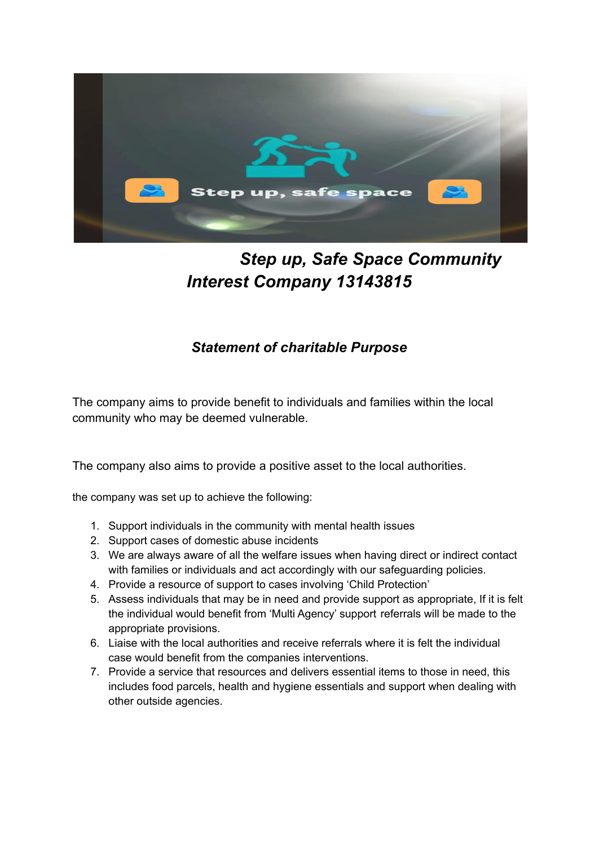

## *Step up, Safe Space Community Interest Company 13143815*

## *Statement of charitable Purpose*

The company aims to provide benefit to individuals and families within the local community who may be deemed vulnerable.

The company also aims to provide a positive asset to the local authorities.

the company was set up to achieve the following:

- 1. Support individuals in the community with mental health issues
- 2. Support cases of domestic abuse incidents
- 3. We are always aware of all the welfare issues when having direct or indirect contact with families or individuals and act accordingly with our safeguarding policies.
- 4. Provide a resource of support to cases involving 'Child Protection'
- 5. Assess individuals that may be in need and provide support as appropriate, If it is felt the individual would benefit from 'Multi Agency' support referrals will be made to the appropriate provisions.
- 6. Liaise with the local authorities and receive referrals where it is felt the individual case would benefit from the companies interventions.
- 7. Provide a service that resources and delivers essential items to those in need, this includes food parcels, health and hygiene essentials and support when dealing with other outside agencies.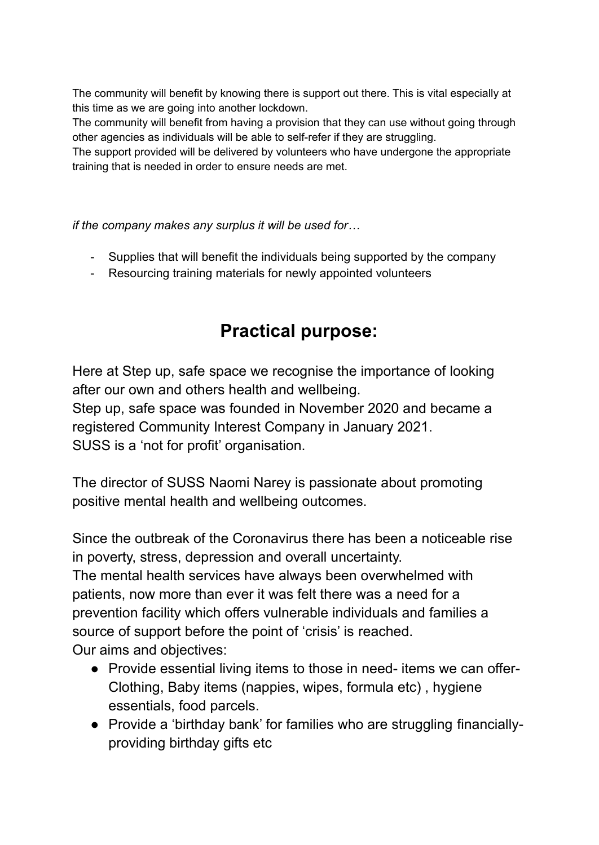The community will benefit by knowing there is support out there. This is vital especially at this time as we are going into another lockdown.

The community will benefit from having a provision that they can use without going through other agencies as individuals will be able to self-refer if they are struggling.

The support provided will be delivered by volunteers who have undergone the appropriate training that is needed in order to ensure needs are met.

*if the company makes any surplus it will be used for…*

- Supplies that will benefit the individuals being supported by the company
- Resourcing training materials for newly appointed volunteers

## **Practical purpose:**

Here at Step up, safe space we recognise the importance of looking after our own and others health and wellbeing. Step up, safe space was founded in November 2020 and became a registered Community Interest Company in January 2021. SUSS is a 'not for profit' organisation.

The director of SUSS Naomi Narey is passionate about promoting positive mental health and wellbeing outcomes.

Since the outbreak of the Coronavirus there has been a noticeable rise in poverty, stress, depression and overall uncertainty. The mental health services have always been overwhelmed with patients, now more than ever it was felt there was a need for a prevention facility which offers vulnerable individuals and families a source of support before the point of 'crisis' is reached. Our aims and objectives:

- Provide essential living items to those in need- items we can offer-Clothing, Baby items (nappies, wipes, formula etc) , hygiene essentials, food parcels.
- Provide a 'birthday bank' for families who are struggling financiallyproviding birthday gifts etc